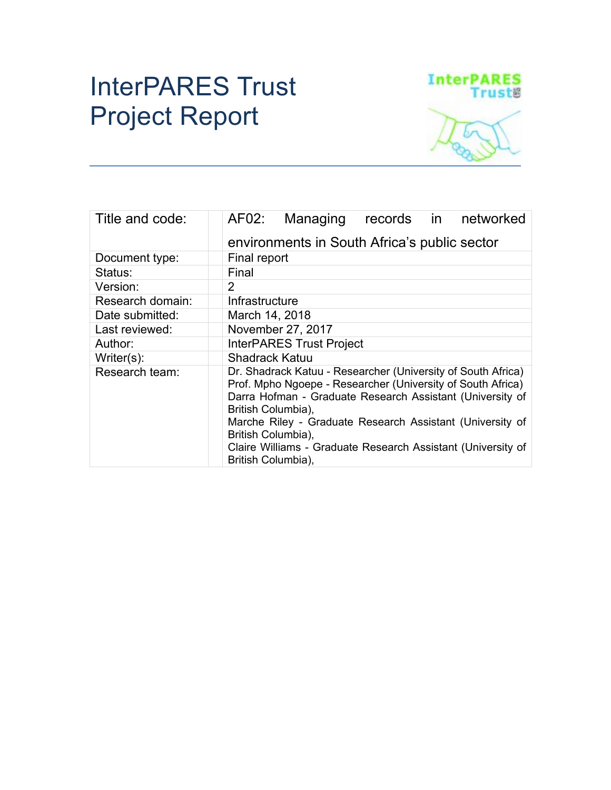# InterPARES Trust Project Report



| Title and code:  | AF02:<br>Managing<br>records in networked                                                                                                                                                                                                                                                                                                                                               |  |  |  |
|------------------|-----------------------------------------------------------------------------------------------------------------------------------------------------------------------------------------------------------------------------------------------------------------------------------------------------------------------------------------------------------------------------------------|--|--|--|
|                  | environments in South Africa's public sector                                                                                                                                                                                                                                                                                                                                            |  |  |  |
| Document type:   | Final report                                                                                                                                                                                                                                                                                                                                                                            |  |  |  |
| Status:          | Final                                                                                                                                                                                                                                                                                                                                                                                   |  |  |  |
| Version:         | $\overline{2}$                                                                                                                                                                                                                                                                                                                                                                          |  |  |  |
| Research domain: | Infrastructure                                                                                                                                                                                                                                                                                                                                                                          |  |  |  |
| Date submitted:  | March 14, 2018                                                                                                                                                                                                                                                                                                                                                                          |  |  |  |
| Last reviewed:   | November 27, 2017                                                                                                                                                                                                                                                                                                                                                                       |  |  |  |
| Author:          | <b>InterPARES Trust Project</b>                                                                                                                                                                                                                                                                                                                                                         |  |  |  |
| Writer $(s)$ :   | <b>Shadrack Katuu</b>                                                                                                                                                                                                                                                                                                                                                                   |  |  |  |
| Research team:   | Dr. Shadrack Katuu - Researcher (University of South Africa)<br>Prof. Mpho Ngoepe - Researcher (University of South Africa)<br>Darra Hofman - Graduate Research Assistant (University of<br>British Columbia),<br>Marche Riley - Graduate Research Assistant (University of<br>British Columbia),<br>Claire Williams - Graduate Research Assistant (University of<br>British Columbia), |  |  |  |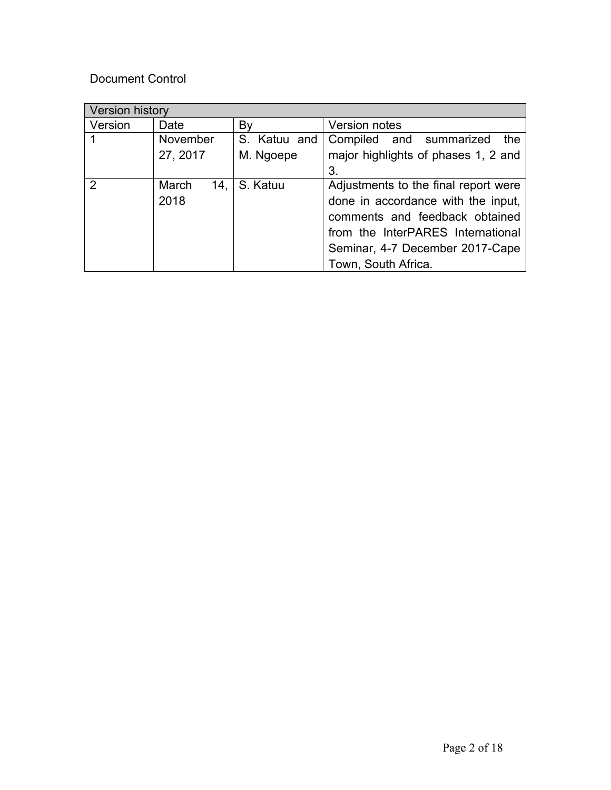### Document Control

| Version history |              |              |                                      |  |
|-----------------|--------------|--------------|--------------------------------------|--|
| Version         | Date         | By           | Version notes                        |  |
|                 | November     | S. Katuu and | Compiled and summarized<br>the       |  |
|                 | 27, 2017     | M. Ngoepe    | major highlights of phases 1, 2 and  |  |
|                 |              |              | 3.                                   |  |
| $\mathcal{P}$   | March<br>14. | S. Katuu     | Adjustments to the final report were |  |
|                 | 2018         |              | done in accordance with the input,   |  |
|                 |              |              | comments and feedback obtained       |  |
|                 |              |              | from the InterPARES International    |  |
|                 |              |              | Seminar, 4-7 December 2017-Cape      |  |
|                 |              |              | Town, South Africa.                  |  |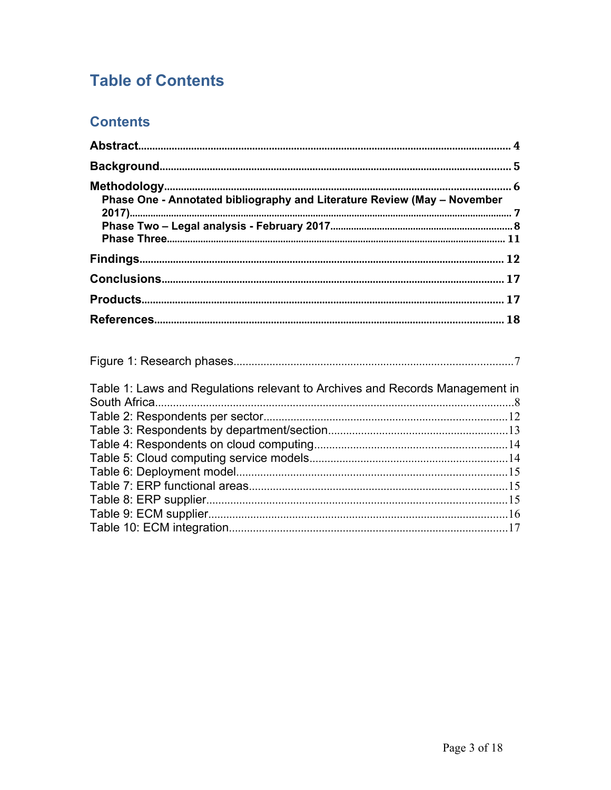# **Table of Contents**

# **Contents**

| Phase One - Annotated bibliography and Literature Review (May - November     |  |
|------------------------------------------------------------------------------|--|
|                                                                              |  |
|                                                                              |  |
|                                                                              |  |
|                                                                              |  |
|                                                                              |  |
|                                                                              |  |
| Table 1: Laws and Regulations relevant to Archives and Records Management in |  |
|                                                                              |  |
|                                                                              |  |
|                                                                              |  |
|                                                                              |  |
|                                                                              |  |
|                                                                              |  |
|                                                                              |  |
|                                                                              |  |
|                                                                              |  |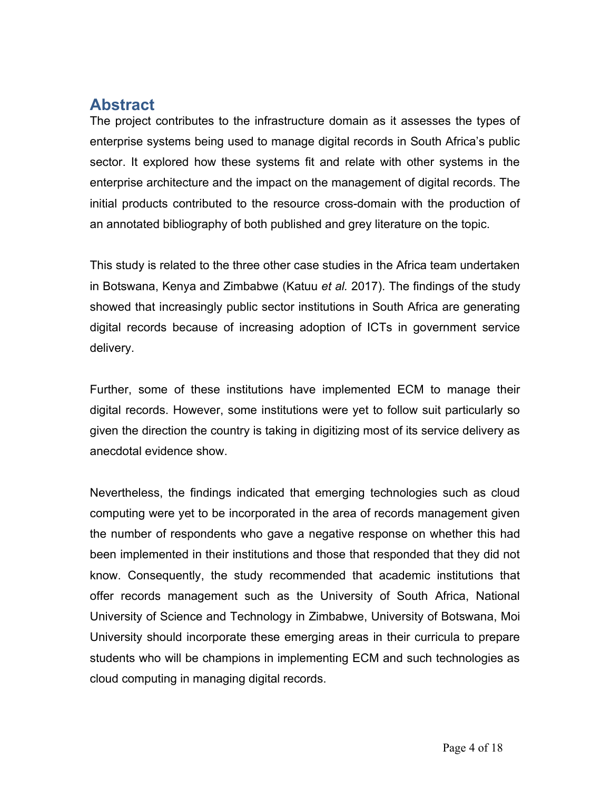# <span id="page-3-0"></span>**Abstract**

The project contributes to the infrastructure domain as it assesses the types of enterprise systems being used to manage digital records in South Africa's public sector. It explored how these systems fit and relate with other systems in the enterprise architecture and the impact on the management of digital records. The initial products contributed to the resource cross-domain with the production of an annotated bibliography of both published and grey literature on the topic.

This study is related to the three other case studies in the Africa team undertaken in Botswana, Kenya and Zimbabwe (Katuu *et al.* 2017). The findings of the study showed that increasingly public sector institutions in South Africa are generating digital records because of increasing adoption of ICTs in government service delivery.

Further, some of these institutions have implemented ECM to manage their digital records. However, some institutions were yet to follow suit particularly so given the direction the country is taking in digitizing most of its service delivery as anecdotal evidence show.

Nevertheless, the findings indicated that emerging technologies such as cloud computing were yet to be incorporated in the area of records management given the number of respondents who gave a negative response on whether this had been implemented in their institutions and those that responded that they did not know. Consequently, the study recommended that academic institutions that offer records management such as the University of South Africa, National University of Science and Technology in Zimbabwe, University of Botswana, Moi University should incorporate these emerging areas in their curricula to prepare students who will be champions in implementing ECM and such technologies as cloud computing in managing digital records.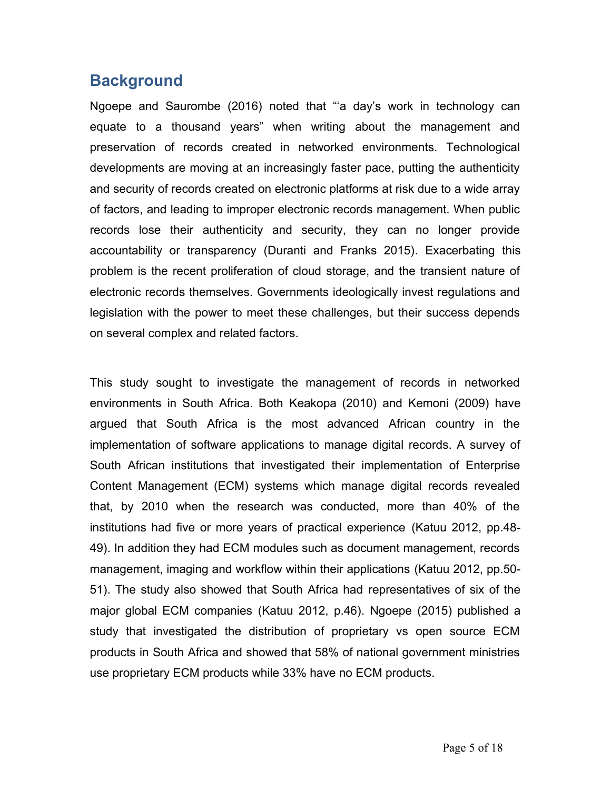# <span id="page-4-0"></span>**Background**

Ngoepe and Saurombe (2016) noted that "'a day's work in technology can equate to a thousand years" when writing about the management and preservation of records created in networked environments. Technological developments are moving at an increasingly faster pace, putting the authenticity and security of records created on electronic platforms at risk due to a wide array of factors, and leading to improper electronic records management. When public records lose their authenticity and security, they can no longer provide accountability or transparency (Duranti and Franks 2015). Exacerbating this problem is the recent proliferation of cloud storage, and the transient nature of electronic records themselves. Governments ideologically invest regulations and legislation with the power to meet these challenges, but their success depends on several complex and related factors.

This study sought to investigate the management of records in networked environments in South Africa. Both Keakopa (2010) and Kemoni (2009) have argued that South Africa is the most advanced African country in the implementation of software applications to manage digital records. A survey of South African institutions that investigated their implementation of Enterprise Content Management (ECM) systems which manage digital records revealed that, by 2010 when the research was conducted, more than 40% of the institutions had five or more years of practical experience (Katuu 2012, pp.48- 49). In addition they had ECM modules such as document management, records management, imaging and workflow within their applications (Katuu 2012, pp.50- 51). The study also showed that South Africa had representatives of six of the major global ECM companies (Katuu 2012, p.46). Ngoepe (2015) published a study that investigated the distribution of proprietary vs open source ECM products in South Africa and showed that 58% of national government ministries use proprietary ECM products while 33% have no ECM products.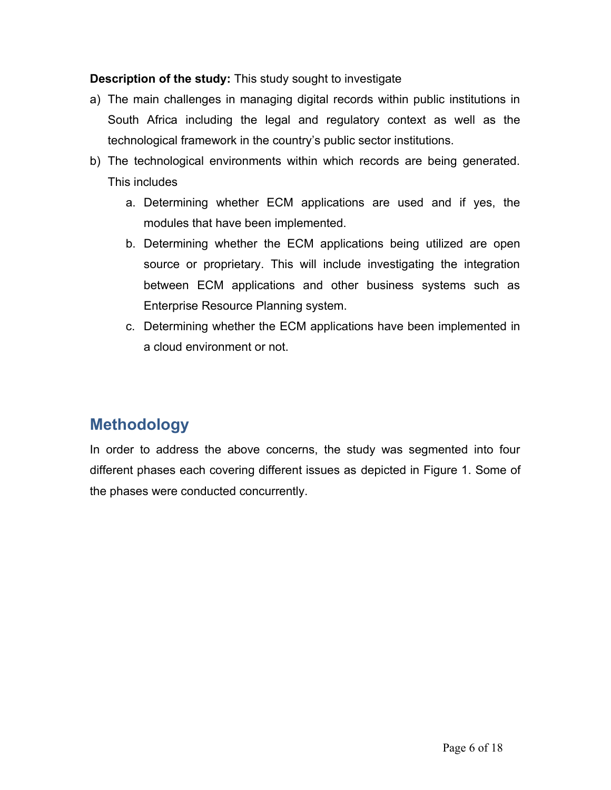### **Description of the study:** This study sought to investigate

- a) The main challenges in managing digital records within public institutions in South Africa including the legal and regulatory context as well as the technological framework in the country's public sector institutions.
- b) The technological environments within which records are being generated. This includes
	- a. Determining whether ECM applications are used and if yes, the modules that have been implemented.
	- b. Determining whether the ECM applications being utilized are open source or proprietary. This will include investigating the integration between ECM applications and other business systems such as Enterprise Resource Planning system.
	- c. Determining whether the ECM applications have been implemented in a cloud environment or not.

# <span id="page-5-0"></span>**Methodology**

In order to address the above concerns, the study was segmented into four different phases each covering different issues as depicted in Figure 1. Some of the phases were conducted concurrently.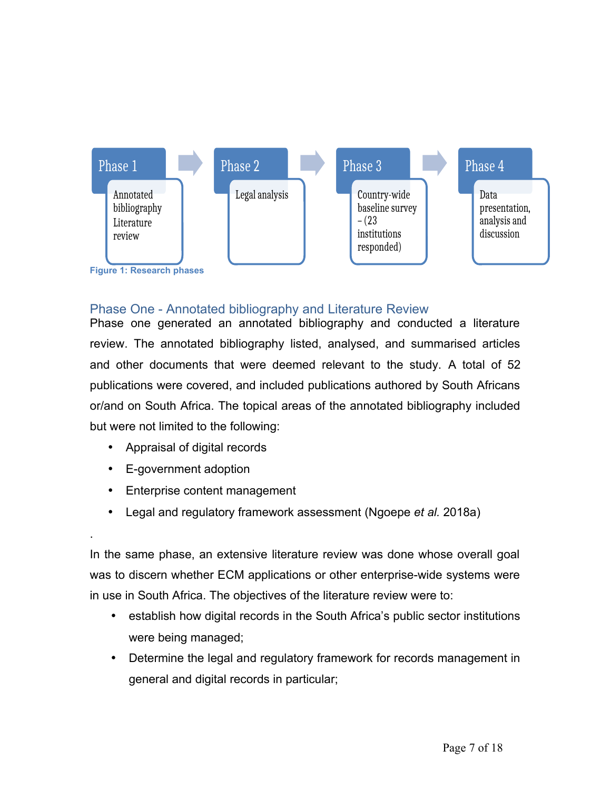

### <span id="page-6-1"></span><span id="page-6-0"></span>Phase One - Annotated bibliography and Literature Review

Phase one generated an annotated bibliography and conducted a literature review. The annotated bibliography listed, analysed, and summarised articles and other documents that were deemed relevant to the study. A total of 52 publications were covered, and included publications authored by South Africans or/and on South Africa. The topical areas of the annotated bibliography included but were not limited to the following:

- Appraisal of digital records
- E-government adoption

.

- Enterprise content management
- Legal and regulatory framework assessment (Ngoepe *et al.* 2018a)

In the same phase, an extensive literature review was done whose overall goal was to discern whether ECM applications or other enterprise-wide systems were in use in South Africa. The objectives of the literature review were to:

- establish how digital records in the South Africa's public sector institutions were being managed;
- Determine the legal and regulatory framework for records management in general and digital records in particular;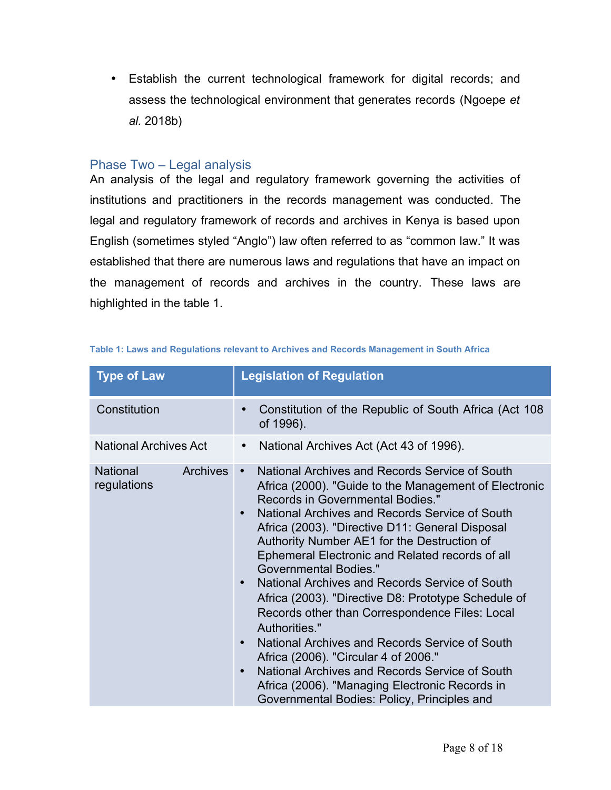Establish the current technological framework for digital records; and assess the technological environment that generates records (Ngoepe *et al.* 2018b)

#### <span id="page-7-1"></span>Phase Two – Legal analysis

An analysis of the legal and regulatory framework governing the activities of institutions and practitioners in the records management was conducted. The legal and regulatory framework of records and archives in Kenya is based upon English (sometimes styled "Anglo") law often referred to as "common law." It was established that there are numerous laws and regulations that have an impact on the management of records and archives in the country. These laws are highlighted in the table 1.

| <b>Type of Law</b>                                | <b>Legislation of Regulation</b>                                                                                                                                                                                                                                                                                                                                                                                                                                                                                                                                                                                                                                                                                                                                                                                                                                |  |
|---------------------------------------------------|-----------------------------------------------------------------------------------------------------------------------------------------------------------------------------------------------------------------------------------------------------------------------------------------------------------------------------------------------------------------------------------------------------------------------------------------------------------------------------------------------------------------------------------------------------------------------------------------------------------------------------------------------------------------------------------------------------------------------------------------------------------------------------------------------------------------------------------------------------------------|--|
| Constitution                                      | Constitution of the Republic of South Africa (Act 108)<br>$\bullet$<br>of 1996).                                                                                                                                                                                                                                                                                                                                                                                                                                                                                                                                                                                                                                                                                                                                                                                |  |
| <b>National Archives Act</b>                      | National Archives Act (Act 43 of 1996).                                                                                                                                                                                                                                                                                                                                                                                                                                                                                                                                                                                                                                                                                                                                                                                                                         |  |
| <b>National</b><br><b>Archives</b><br>regulations | National Archives and Records Service of South<br>$\bullet$<br>Africa (2000). "Guide to the Management of Electronic<br>Records in Governmental Bodies."<br>National Archives and Records Service of South<br>$\bullet$<br>Africa (2003). "Directive D11: General Disposal<br>Authority Number AE1 for the Destruction of<br>Ephemeral Electronic and Related records of all<br><b>Governmental Bodies."</b><br>National Archives and Records Service of South<br>Africa (2003). "Directive D8: Prototype Schedule of<br>Records other than Correspondence Files: Local<br>Authorities."<br>National Archives and Records Service of South<br>$\bullet$<br>Africa (2006). "Circular 4 of 2006."<br>National Archives and Records Service of South<br>$\bullet$<br>Africa (2006). "Managing Electronic Records in<br>Governmental Bodies: Policy, Principles and |  |

<span id="page-7-0"></span>

| Table 1: Laws and Regulations relevant to Archives and Records Management in South Africa |  |  |  |  |  |  |
|-------------------------------------------------------------------------------------------|--|--|--|--|--|--|
|-------------------------------------------------------------------------------------------|--|--|--|--|--|--|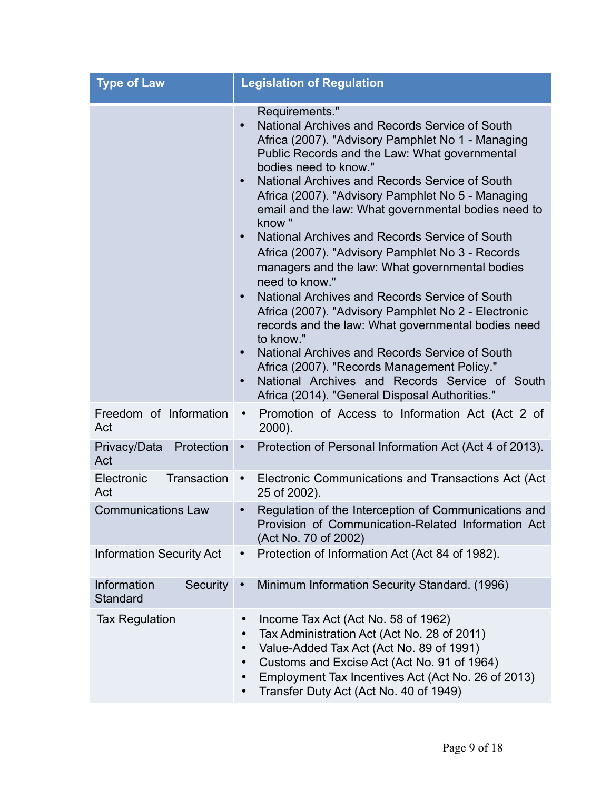| <b>Type of Law</b>                  | <b>Legislation of Regulation</b>                                                                                                                                                                                                                                                                                                                                                                                                                                                                                                                                                                                                                                                                                                                                                                                                                                                                                                                                                                   |  |  |
|-------------------------------------|----------------------------------------------------------------------------------------------------------------------------------------------------------------------------------------------------------------------------------------------------------------------------------------------------------------------------------------------------------------------------------------------------------------------------------------------------------------------------------------------------------------------------------------------------------------------------------------------------------------------------------------------------------------------------------------------------------------------------------------------------------------------------------------------------------------------------------------------------------------------------------------------------------------------------------------------------------------------------------------------------|--|--|
|                                     | Requirements."<br>National Archives and Records Service of South<br>$\bullet$<br>Africa (2007). "Advisory Pamphlet No 1 - Managing<br>Public Records and the Law: What governmental<br>bodies need to know."<br>National Archives and Records Service of South<br>$\bullet$<br>Africa (2007). "Advisory Pamphlet No 5 - Managing<br>email and the law: What governmental bodies need to<br>know"<br>National Archives and Records Service of South<br>$\bullet$<br>Africa (2007). "Advisory Pamphlet No 3 - Records<br>managers and the law: What governmental bodies<br>need to know."<br>National Archives and Records Service of South<br>$\bullet$<br>Africa (2007). "Advisory Pamphlet No 2 - Electronic<br>records and the law: What governmental bodies need<br>to know."<br>National Archives and Records Service of South<br>Africa (2007). "Records Management Policy."<br>National Archives and Records Service of South<br>$\bullet$<br>Africa (2014). "General Disposal Authorities." |  |  |
| Freedom of Information<br>Act       | Promotion of Access to Information Act (Act 2 of<br>$\bullet$<br>2000).                                                                                                                                                                                                                                                                                                                                                                                                                                                                                                                                                                                                                                                                                                                                                                                                                                                                                                                            |  |  |
| Protection<br>Privacy/Data<br>Act   | Protection of Personal Information Act (Act 4 of 2013).<br>$\bullet$                                                                                                                                                                                                                                                                                                                                                                                                                                                                                                                                                                                                                                                                                                                                                                                                                                                                                                                               |  |  |
| Electronic<br>Transaction<br>Act    | Electronic Communications and Transactions Act (Act)<br>$\bullet$<br>25 of 2002).                                                                                                                                                                                                                                                                                                                                                                                                                                                                                                                                                                                                                                                                                                                                                                                                                                                                                                                  |  |  |
| <b>Communications Law</b>           | Regulation of the Interception of Communications and<br>$\bullet$<br>Provision of Communication-Related Information Act<br>(Act No. 70 of 2002)                                                                                                                                                                                                                                                                                                                                                                                                                                                                                                                                                                                                                                                                                                                                                                                                                                                    |  |  |
| <b>Information Security Act</b>     | Protection of Information Act (Act 84 of 1982).<br>$\bullet$                                                                                                                                                                                                                                                                                                                                                                                                                                                                                                                                                                                                                                                                                                                                                                                                                                                                                                                                       |  |  |
| Information<br>Security<br>Standard | Minimum Information Security Standard. (1996)<br>$\bullet$                                                                                                                                                                                                                                                                                                                                                                                                                                                                                                                                                                                                                                                                                                                                                                                                                                                                                                                                         |  |  |
| <b>Tax Regulation</b>               | Income Tax Act (Act No. 58 of 1962)<br>$\bullet$<br>Tax Administration Act (Act No. 28 of 2011)<br>٠<br>Value-Added Tax Act (Act No. 89 of 1991)<br>Customs and Excise Act (Act No. 91 of 1964)<br>$\bullet$<br>Employment Tax Incentives Act (Act No. 26 of 2013)<br>Transfer Duty Act (Act No. 40 of 1949)<br>$\bullet$                                                                                                                                                                                                                                                                                                                                                                                                                                                                                                                                                                                                                                                                          |  |  |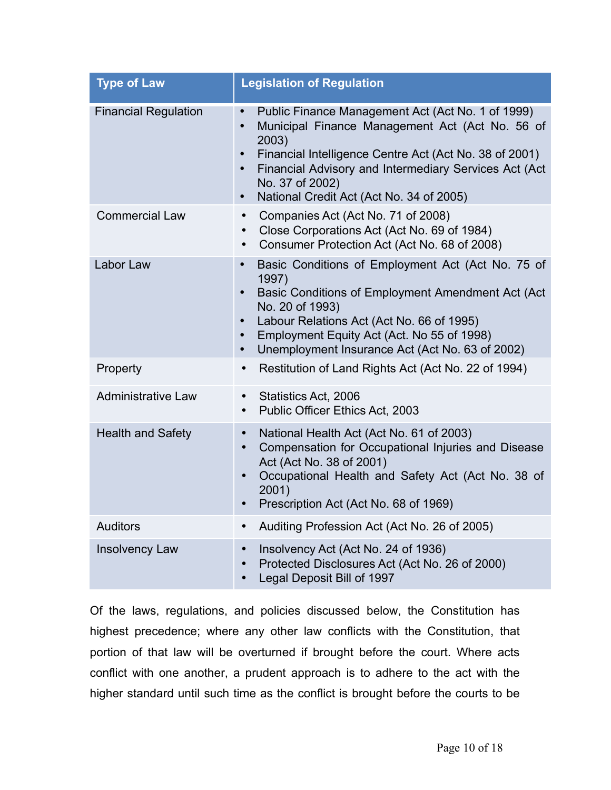| <b>Type of Law</b>          | <b>Legislation of Regulation</b>                                                                                                                                                                                                                                                                                                                                 |  |  |
|-----------------------------|------------------------------------------------------------------------------------------------------------------------------------------------------------------------------------------------------------------------------------------------------------------------------------------------------------------------------------------------------------------|--|--|
| <b>Financial Regulation</b> | Public Finance Management Act (Act No. 1 of 1999)<br>$\bullet$<br>Municipal Finance Management Act (Act No. 56 of<br>$\bullet$<br>2003)<br>Financial Intelligence Centre Act (Act No. 38 of 2001)<br>$\bullet$<br>Financial Advisory and Intermediary Services Act (Act<br>$\bullet$<br>No. 37 of 2002)<br>National Credit Act (Act No. 34 of 2005)<br>$\bullet$ |  |  |
| <b>Commercial Law</b>       | Companies Act (Act No. 71 of 2008)<br>Close Corporations Act (Act No. 69 of 1984)<br>Consumer Protection Act (Act No. 68 of 2008)<br>$\bullet$                                                                                                                                                                                                                   |  |  |
| Labor Law                   | Basic Conditions of Employment Act (Act No. 75 of<br>$\bullet$<br>1997)<br>Basic Conditions of Employment Amendment Act (Act<br>$\bullet$<br>No. 20 of 1993)<br>Labour Relations Act (Act No. 66 of 1995)<br>$\bullet$<br>Employment Equity Act (Act. No 55 of 1998)<br>$\bullet$<br>Unemployment Insurance Act (Act No. 63 of 2002)<br>$\bullet$                |  |  |
| Property                    | Restitution of Land Rights Act (Act No. 22 of 1994)<br>$\bullet$                                                                                                                                                                                                                                                                                                 |  |  |
| <b>Administrative Law</b>   | Statistics Act, 2006<br>$\bullet$<br>Public Officer Ethics Act, 2003<br>$\bullet$                                                                                                                                                                                                                                                                                |  |  |
| <b>Health and Safety</b>    | National Health Act (Act No. 61 of 2003)<br>$\bullet$<br>Compensation for Occupational Injuries and Disease<br>$\bullet$<br>Act (Act No. 38 of 2001)<br>Occupational Health and Safety Act (Act No. 38 of<br>$\bullet$<br>2001)<br>Prescription Act (Act No. 68 of 1969)<br>$\bullet$                                                                            |  |  |
| <b>Auditors</b>             | Auditing Profession Act (Act No. 26 of 2005)<br>$\bullet$                                                                                                                                                                                                                                                                                                        |  |  |
| <b>Insolvency Law</b>       | Insolvency Act (Act No. 24 of 1936)<br>$\bullet$<br>Protected Disclosures Act (Act No. 26 of 2000)<br>$\bullet$<br>Legal Deposit Bill of 1997<br>$\bullet$                                                                                                                                                                                                       |  |  |

Of the laws, regulations, and policies discussed below, the Constitution has highest precedence; where any other law conflicts with the Constitution, that portion of that law will be overturned if brought before the court. Where acts conflict with one another, a prudent approach is to adhere to the act with the higher standard until such time as the conflict is brought before the courts to be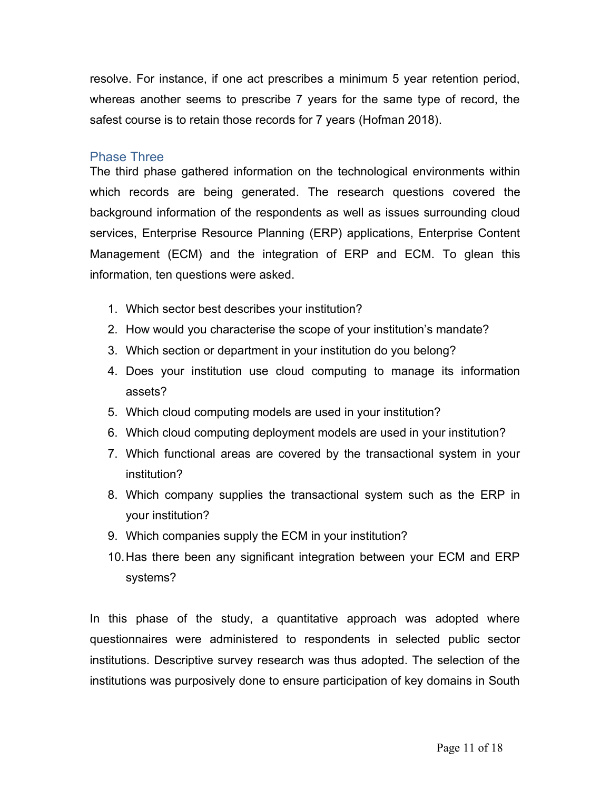resolve. For instance, if one act prescribes a minimum 5 year retention period, whereas another seems to prescribe 7 years for the same type of record, the safest course is to retain those records for 7 years (Hofman 2018).

#### <span id="page-10-0"></span>Phase Three

The third phase gathered information on the technological environments within which records are being generated. The research questions covered the background information of the respondents as well as issues surrounding cloud services, Enterprise Resource Planning (ERP) applications, Enterprise Content Management (ECM) and the integration of ERP and ECM. To glean this information, ten questions were asked.

- 1. Which sector best describes your institution?
- 2. How would you characterise the scope of your institution's mandate?
- 3. Which section or department in your institution do you belong?
- 4. Does your institution use cloud computing to manage its information assets?
- 5. Which cloud computing models are used in your institution?
- 6. Which cloud computing deployment models are used in your institution?
- 7. Which functional areas are covered by the transactional system in your institution?
- 8. Which company supplies the transactional system such as the ERP in your institution?
- 9. Which companies supply the ECM in your institution?
- 10.Has there been any significant integration between your ECM and ERP systems?

In this phase of the study, a quantitative approach was adopted where questionnaires were administered to respondents in selected public sector institutions. Descriptive survey research was thus adopted. The selection of the institutions was purposively done to ensure participation of key domains in South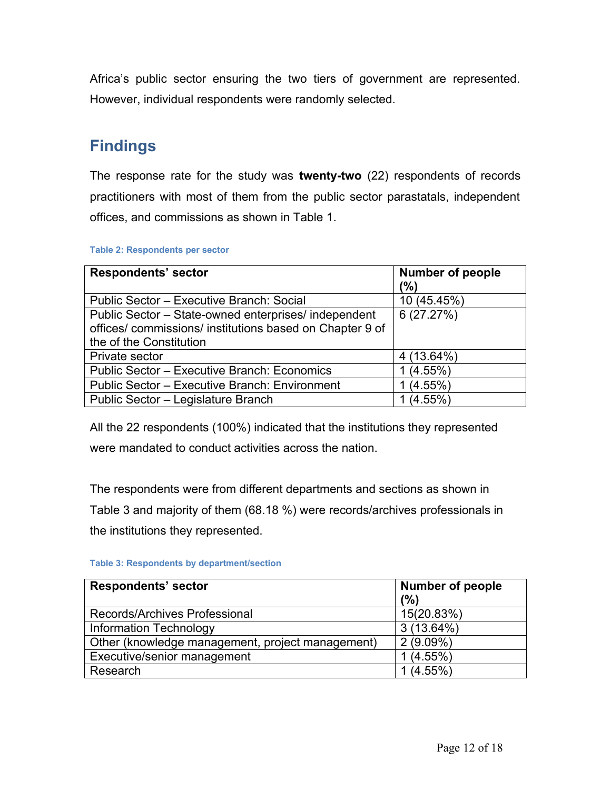Africa's public sector ensuring the two tiers of government are represented. However, individual respondents were randomly selected.

# <span id="page-11-2"></span>**Findings**

The response rate for the study was **twenty-two** (22) respondents of records practitioners with most of them from the public sector parastatals, independent offices, and commissions as shown in Table 1.

<span id="page-11-1"></span>

| <b>Respondents' sector</b>                             | <b>Number of people</b> |
|--------------------------------------------------------|-------------------------|
|                                                        | (%)                     |
| Public Sector - Executive Branch: Social               | 10 (45.45%)             |
| Public Sector – State-owned enterprises/ independent   | 6(27.27%)               |
| offices/commissions/institutions based on Chapter 9 of |                         |
| the of the Constitution                                |                         |
| Private sector                                         | 4 (13.64%)              |
| Public Sector - Executive Branch: Economics            | $(4.55\%)$              |
| Public Sector - Executive Branch: Environment          | $(4.55\%)$              |
| Public Sector - Legislature Branch                     | $(4.55\%)$              |

All the 22 respondents (100%) indicated that the institutions they represented were mandated to conduct activities across the nation.

The respondents were from different departments and sections as shown in Table 3 and majority of them (68.18 %) were records/archives professionals in the institutions they represented.

<span id="page-11-0"></span>

|  |  |  | <b>Table 3: Respondents by department/section</b> |
|--|--|--|---------------------------------------------------|
|--|--|--|---------------------------------------------------|

| <b>Respondents' sector</b>                       | <b>Number of people</b> |  |
|--------------------------------------------------|-------------------------|--|
|                                                  | (%)                     |  |
| Records/Archives Professional                    | 15(20.83%)              |  |
| <b>Information Technology</b>                    | $3(13.64\%)$            |  |
| Other (knowledge management, project management) | $2(9.09\%)$             |  |
| Executive/senior management                      | 1(4.55%)                |  |
| Research                                         | 1(4.55%)                |  |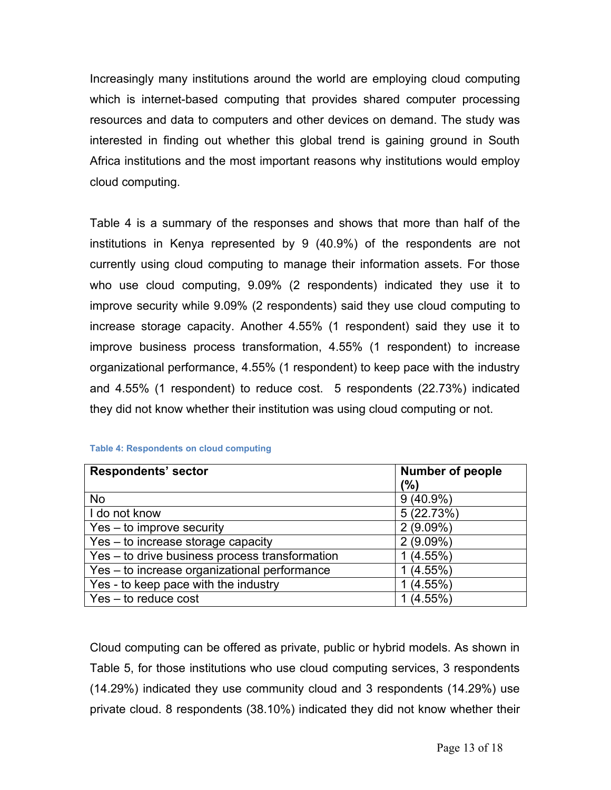Increasingly many institutions around the world are employing cloud computing which is internet-based computing that provides shared computer processing resources and data to computers and other devices on demand. The study was interested in finding out whether this global trend is gaining ground in South Africa institutions and the most important reasons why institutions would employ cloud computing.

Table 4 is a summary of the responses and shows that more than half of the institutions in Kenya represented by 9 (40.9%) of the respondents are not currently using cloud computing to manage their information assets. For those who use cloud computing, 9.09% (2 respondents) indicated they use it to improve security while 9.09% (2 respondents) said they use cloud computing to increase storage capacity. Another 4.55% (1 respondent) said they use it to improve business process transformation, 4.55% (1 respondent) to increase organizational performance, 4.55% (1 respondent) to keep pace with the industry and 4.55% (1 respondent) to reduce cost. 5 respondents (22.73%) indicated they did not know whether their institution was using cloud computing or not.

| <b>Respondents' sector</b>                      | <b>Number of people</b> |
|-------------------------------------------------|-------------------------|
|                                                 | (%)                     |
| <b>No</b>                                       | $9(40.9\%)$             |
| I do not know                                   | 5(22.73%)               |
| Yes – to improve security                       | $2(9.09\%)$             |
| $\overline{Yes}$ – to increase storage capacity | $2(9.09\%)$             |
| Yes - to drive business process transformation  | 1(4.55%)                |
| Yes – to increase organizational performance    | 1(4.55%)                |
| Yes - to keep pace with the industry            | 1(4.55%)                |
| $Yes - to reduce cost$                          | $1(4.55\%)$             |

<span id="page-12-0"></span>

|  | <b>Table 4: Respondents on cloud computing</b> |  |  |
|--|------------------------------------------------|--|--|
|--|------------------------------------------------|--|--|

Cloud computing can be offered as private, public or hybrid models. As shown in Table 5, for those institutions who use cloud computing services, 3 respondents (14.29%) indicated they use community cloud and 3 respondents (14.29%) use private cloud. 8 respondents (38.10%) indicated they did not know whether their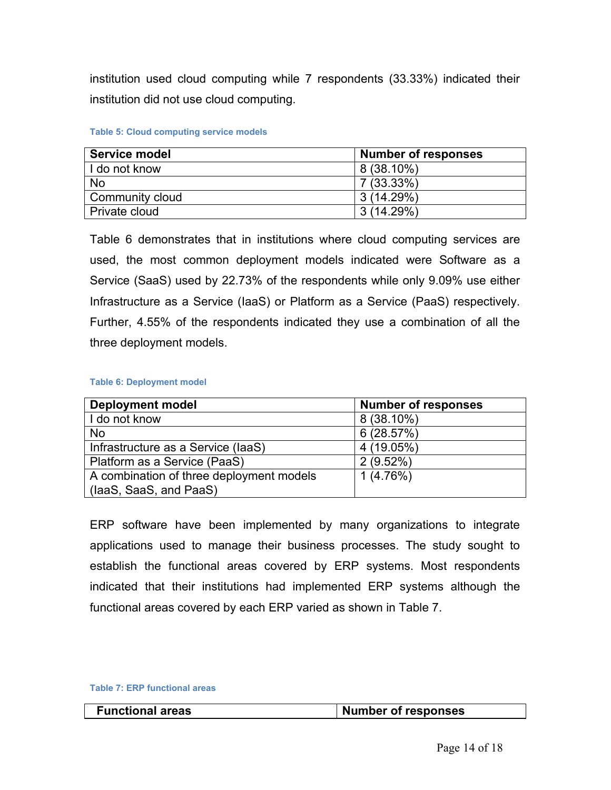institution used cloud computing while 7 respondents (33.33%) indicated their institution did not use cloud computing.

#### <span id="page-13-0"></span>**Table 5: Cloud computing service models**

| Service model   | <b>Number of responses</b> |  |
|-----------------|----------------------------|--|
| I do not know   | $8(38.10\%)$               |  |
| No              | 7 (33.33%)                 |  |
| Community cloud | 3(14.29%)                  |  |
| Private cloud   | 3(14.29%)                  |  |

Table 6 demonstrates that in institutions where cloud computing services are used, the most common deployment models indicated were Software as a Service (SaaS) used by 22.73% of the respondents while only 9.09% use either Infrastructure as a Service (IaaS) or Platform as a Service (PaaS) respectively. Further, 4.55% of the respondents indicated they use a combination of all the three deployment models.

#### <span id="page-13-2"></span>**Table 6: Deployment model**

| <b>Deployment model</b>                  | <b>Number of responses</b> |
|------------------------------------------|----------------------------|
| I do not know                            | $8(38.10\%)$               |
| <b>No</b>                                | 6(28.57%)                  |
| Infrastructure as a Service (laaS)       | 4(19.05%)                  |
| Platform as a Service (PaaS)             | 2(9.52%)                   |
| A combination of three deployment models | 1(4.76%)                   |
| (laaS, SaaS, and PaaS)                   |                            |

ERP software have been implemented by many organizations to integrate applications used to manage their business processes. The study sought to establish the functional areas covered by ERP systems. Most respondents indicated that their institutions had implemented ERP systems although the functional areas covered by each ERP varied as shown in Table 7.

#### <span id="page-13-1"></span>**Table 7: ERP functional areas**

| <b>Functional areas</b> | Number of responses |
|-------------------------|---------------------|
|-------------------------|---------------------|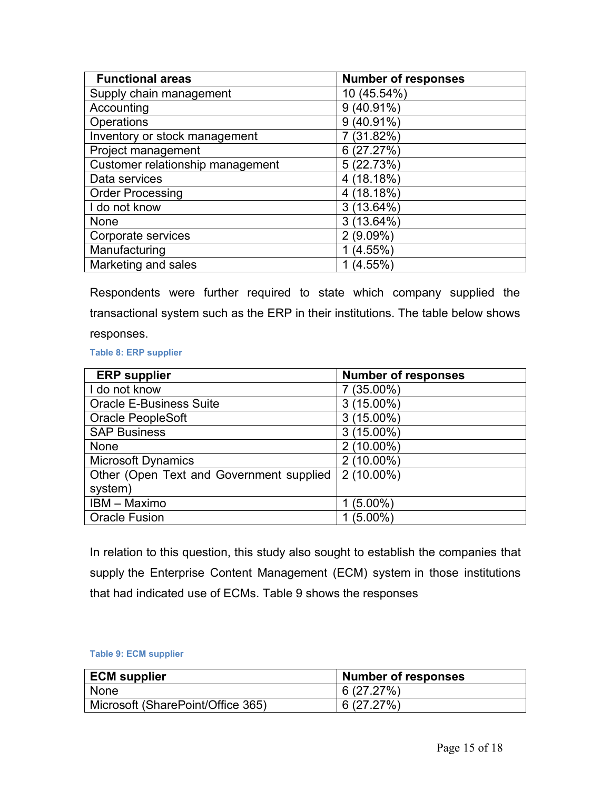| <b>Functional areas</b>          | <b>Number of responses</b> |
|----------------------------------|----------------------------|
| Supply chain management          | 10 (45.54%)                |
| Accounting                       | $9(40.91\%)$               |
| Operations                       | $9(40.91\%)$               |
| Inventory or stock management    | 7 (31.82%)                 |
| Project management               | 6(27.27%)                  |
| Customer relationship management | 5 (22.73%)                 |
| Data services                    | 4 (18.18%)                 |
| <b>Order Processing</b>          | 4 (18.18%)                 |
| I do not know                    | 3(13.64%)                  |
| None                             | $3(13.64\%)$               |
| Corporate services               | $2(9.09\%)$                |
| Manufacturing                    | $(4.55\%)$                 |
| Marketing and sales              | $(4.55\%)$                 |

Respondents were further required to state which company supplied the transactional system such as the ERP in their institutions. The table below shows responses.

<span id="page-14-1"></span>**Table 8: ERP supplier**

| <b>ERP</b> supplier                      | <b>Number of responses</b> |
|------------------------------------------|----------------------------|
| I do not know                            | $7(35.00\%)$               |
| <b>Oracle E-Business Suite</b>           | $3(15.00\%)$               |
| <b>Oracle PeopleSoft</b>                 | $3(15.00\%)$               |
| <b>SAP Business</b>                      | $3(15.00\%)$               |
| <b>None</b>                              | $2(10.00\%)$               |
| <b>Microsoft Dynamics</b>                | $2(10.00\%)$               |
| Other (Open Text and Government supplied | $2(10.00\%)$               |
| system)                                  |                            |
| IBM - Maximo                             | $1(5.00\%)$                |
| <b>Oracle Fusion</b>                     | $(5.00\%)$                 |

In relation to this question, this study also sought to establish the companies that supply the Enterprise Content Management (ECM) system in those institutions that had indicated use of ECMs. Table 9 shows the responses

#### <span id="page-14-0"></span>**Table 9: ECM supplier**

| <b>ECM</b> supplier               | <b>Number of responses</b> |
|-----------------------------------|----------------------------|
| None                              | 6(27.27%)                  |
| Microsoft (SharePoint/Office 365) | 6(27.27%)                  |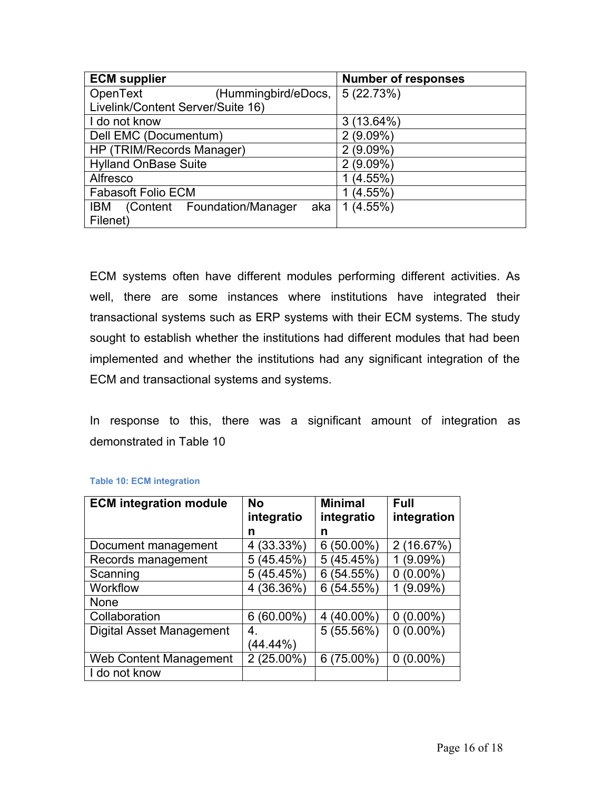| <b>ECM</b> supplier                        | <b>Number of responses</b> |  |
|--------------------------------------------|----------------------------|--|
| OpenText<br>(Hummingbird/eDocs,            | 5(22.73%)                  |  |
| Livelink/Content Server/Suite 16)          |                            |  |
| I do not know                              | $3(13.64\%)$               |  |
| Dell EMC (Documentum)                      | $2(9.09\%)$                |  |
| HP (TRIM/Records Manager)                  | $2(9.09\%)$                |  |
| <b>Hylland OnBase Suite</b>                | $2(9.09\%)$                |  |
| Alfresco                                   | $(4.55\%)$                 |  |
| <b>Fabasoft Folio ECM</b>                  | $(4.55\%)$                 |  |
| (Content Foundation/Manager)<br>IBM<br>aka | 1(4.55%)                   |  |
| Filenet)                                   |                            |  |

ECM systems often have different modules performing different activities. As well, there are some instances where institutions have integrated their transactional systems such as ERP systems with their ECM systems. The study sought to establish whether the institutions had different modules that had been implemented and whether the institutions had any significant integration of the ECM and transactional systems and systems.

In response to this, there was a significant amount of integration as demonstrated in Table 10

| <b>ECM</b> integration module | No<br>integratio | <b>Minimal</b><br>integratio | <b>Full</b><br>integration |
|-------------------------------|------------------|------------------------------|----------------------------|
|                               | n                | n                            |                            |
| Document management           | (33.33%)<br>4    | $6(50.00\%)$                 | 2 (16.67%)                 |
| Records management            | 5(45.45%)        | 5(45.45%)                    | $(9.09\%)$<br>1            |
| Scanning                      | 5(45.45%)        | 6(54.55%)                    | $0(0.00\%)$                |
| Workflow                      | (36.36%)         | 6(54.55%)                    | $(9.09\%)$                 |
| <b>None</b>                   |                  |                              |                            |
| Collaboration                 | $6(60.00\%)$     | 4 (40.00%)                   | $0(0.00\%)$                |
| Digital Asset Management      | 4.               | 5(55.56%)                    | $0(0.00\%)$                |
|                               | (44.44%)         |                              |                            |
| <b>Web Content Management</b> | $2(25.00\%)$     | $6(75.00\%)$                 | $0(0.00\%)$                |
| I do not know                 |                  |                              |                            |

#### <span id="page-15-0"></span>**Table 10: ECM integration**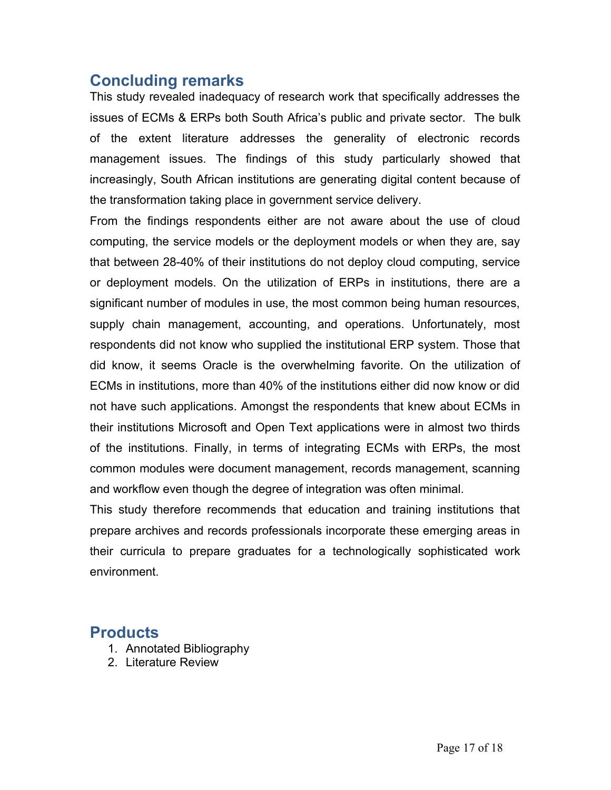# <span id="page-16-1"></span>**Concluding remarks**

This study revealed inadequacy of research work that specifically addresses the issues of ECMs & ERPs both South Africa's public and private sector. The bulk of the extent literature addresses the generality of electronic records management issues. The findings of this study particularly showed that increasingly, South African institutions are generating digital content because of the transformation taking place in government service delivery.

From the findings respondents either are not aware about the use of cloud computing, the service models or the deployment models or when they are, say that between 28-40% of their institutions do not deploy cloud computing, service or deployment models. On the utilization of ERPs in institutions, there are a significant number of modules in use, the most common being human resources, supply chain management, accounting, and operations. Unfortunately, most respondents did not know who supplied the institutional ERP system. Those that did know, it seems Oracle is the overwhelming favorite. On the utilization of ECMs in institutions, more than 40% of the institutions either did now know or did not have such applications. Amongst the respondents that knew about ECMs in their institutions Microsoft and Open Text applications were in almost two thirds of the institutions. Finally, in terms of integrating ECMs with ERPs, the most common modules were document management, records management, scanning and workflow even though the degree of integration was often minimal.

This study therefore recommends that education and training institutions that prepare archives and records professionals incorporate these emerging areas in their curricula to prepare graduates for a technologically sophisticated work environment.

## <span id="page-16-0"></span>**Products**

- 1. Annotated Bibliography
- 2. Literature Review